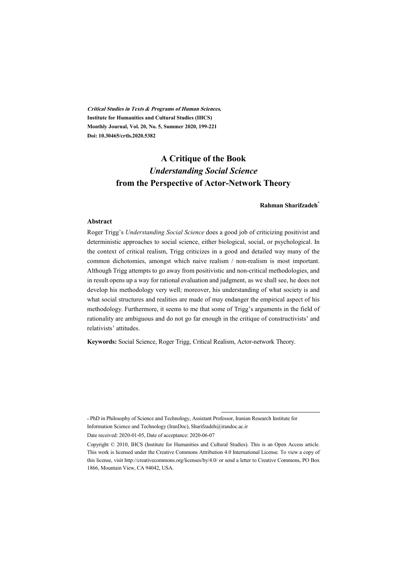**Critical Studies in Texts & Programs of Human Sciences, Institute for Humanities and Cultural Studies (IHCS) Monthly Journal, Vol. 20, No. 5, Summer 2020, 199-221 Doi: 10.30465/crtls.2020.5382** 

# **A Critique of the Book**  *Understanding Social Science* **from the Perspective of Actor-Network Theory**

#### **Rahman Sharifzadeh\***

#### **Abstract**

Roger Trigg's *Understanding Social Science* does a good job of criticizing positivist and deterministic approaches to social science, either biological, social, or psychological. In the context of critical realism, Trigg criticizes in a good and detailed way many of the common dichotomies, amongst which naive realism / non-realism is most important. Although Trigg attempts to go away from positivistic and non-critical methodologies, and in result opens up a way for rational evaluation and judgment, as we shall see, he does not develop his methodology very well; moreover, his understanding of what society is and what social structures and realities are made of may endanger the empirical aspect of his methodology. Furthermore, it seems to me that some of Trigg's arguments in the field of rationality are ambiguous and do not go far enough in the critique of constructivists' and relativists' attitudes.

**Keywords:** Social Science, Roger Trigg, Critical Realism, Actor-network Theory.

\* PhD in Philosophy of Science and Technology, Assistant Professor, Iranian Research Institute for Information Science and Technology (IranDoc), Sharifzadeh@irandoc.ac.ir

Date received: 2020-01-05, Date of acceptance: 2020-06-07

Copyright © 2010, IHCS (Institute for Humanities and Cultural Studies). This is an Open Access article. This work is licensed under the Creative Commons Attribution 4.0 International License. To view a copy of this license, visit http://creativecommons.org/licenses/by/4.0/ or send a letter to Creative Commons, PO Box 1866, Mountain View, CA 94042, USA.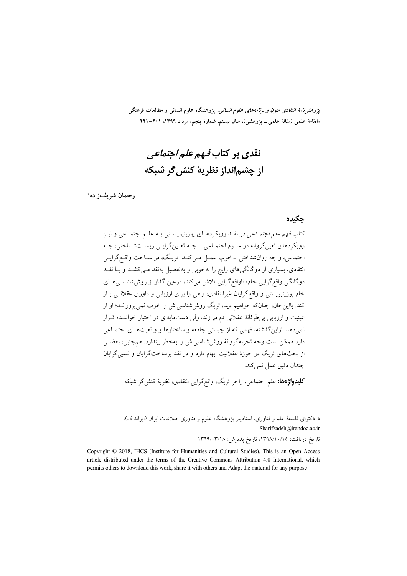*پژوهشنامهٔ انتقادی متون و برنامههای علوم انسانی*، پژوهشگاه علوم انسانی و مطالعات فرهنگی ماهنامهٔ علمی (مقالهٔ علمی ــ پژوهشی)، سال بیستم، شمارهٔ پنجم، مرداد ۱۳۹۹، ۲۰۱–۲۲۱

# نقدی بر کتاب *فیهم علم اجتماعی* از چشمانداز نظريهٔ کنش گر شبکه

رحمان شريفزاده\*

جكيده

کتاب *فهم علم اجتمــاعي* در نقــد رويکردهــاي پوزيتيويســتي بــه علــم اجتمــاعي و نيــز رویکردهای تعینگروانه در علـوم اجتمـاعی ـ چـه تعـینگرایـی زیسـتشـناختی، چـه اجتماعي، و چه روانشناختي \_خوب عمـل مـيكنـد. تريـگ، در سـاحت واقـع گرايـي انتقادی، بسیاری از دوگانگی های رایج را بهخوبی و به تفصیل به نقد مـی کشــد و بــا نقــد دوگانگی واقع گرایی خام/ ناواقع گرایی تلاش میکند، درعین گذار از روش شناسبی هـای خام پوزیتیویستی و واقع گرایان غیرانتقادی، راهی را برای ارزیابی و داوری عقلانـی بـاز کند. بااین حال، چنان که خواهیم دید، ت<sub>ر</sub>یگ روش شناسی اش را خوب نم<u>ی بروران</u>ـد؛ او از عینیت و ارزیابی بی طرفانهٔ عقلانی دم میزند، ولی دستمایهای در اختیار خواننده قرار نمي دهد. ازاين گذشته، فهمي كه از چيستي جامعه و ساختارها و واقعيتهـاي اجتمـاعي دارد ممکن است وجه تجربهگروانهٔ روش شناسی اش را بهخطر بیندازد. همچنین، بعضبی از بحثهای تریگ در حوزهٔ عقلانیت ابهام دارد و در نقد برساختگرایان و نسبیگرایان جندان دقيق عمل نمي كند.

**کلیدواژهها:** علم اجتماعی، راجر تریگ، واقعگرایی انتقادی، نظریهٔ کنش گر شبکه.

\* دکترای فلسفهٔ علم و فناوری، استادیار پژوهشگاه علوم و فناوری اطلاعات ایران (ایرانداک)، Sharifzadeh@irandoc.ac.ir

تاريخ دريافت: ١٣٩٨/١٠/١٥، تاريخ پذيرش: ١٣٩٩/٠٣/١٨

Copyright © 2018, IHCS (Institute for Humanities and Cultural Studies). This is an Open Access article distributed under the terms of the Creative Commons Attribution 4.0 International, which permits others to download this work, share it with others and Adapt the material for any purpose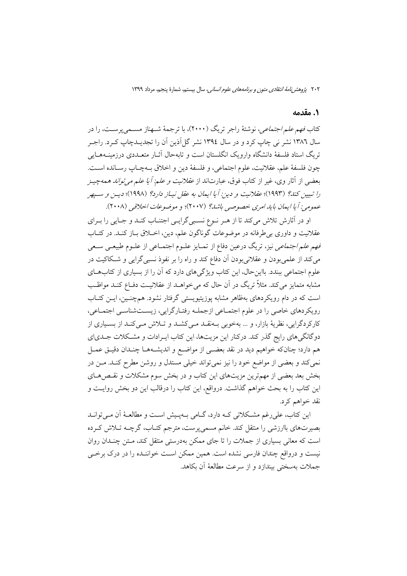#### ۰. مقدمه

کتاب *فهم علم اجتماعی،* نوشتهٔ راجر تریگ (۲۰۰۰)، با ترجمهٔ شـهناز مسـمیپرسـت، را در سال ۱۳۸۲ نشر نی چاپ کرد و در سال ۱۳۹٤ نشر گل|آذین اَن را تجدیــدچاپ کــرد. راجــر تریگ استاد فلسفهٔ دانشگاه وارویک انگلستان است و تابهحال آثـار متعــددی درزمینــههــایی چون فلسفهٔ علم، عقلانيت، علوم اجتماعي، و فلسفهٔ دين و اخلاق بـهچـاپ رسـانده اسـت. بعضی از آثار وی، غیر از کتاب فوق، عبارتاند از *عقلانیت و علم: أيا علم می تواند همهچي*ـز را تبیین کند؟ (۱۹۹۳)؛ عقلانیت و دین: آیا ایمان به عقل نیـاز دارد؟ (۱۹۹۸)؛ دیـن و سـپهر عمومي: أيا ايمان بايد امري خصوصي باشد؟ (٢٠٠٧)؛ و موضوعات اخلاقي (٢٠٠٨).

او در آثارش تلاش میکند تا از هـر نـوع نسـبیگرایـی اجتنـاب کنـد و جـایی را بـرای عقلانیت و داوری بی طرفانه در موضوعات گوناگون علم، دین، اخـلاق بـاز کنـد. در کتـاب فهم *علم اجتماعی* نیز، تریگ درعین دفاع از تمـایز علـوم اجتمـاعی از علـوم طبیعـی سـعی می کند از علمی بودن و عقلانی بودن آن دفاع کند و راه را بر نفوذ نسبی گرایی و شـکاکیت در علوم اجتماعی ببندد. بااین حال، این کتاب ویژگیهای دارد که آن را از بسیاری از کتابهـای مشابه متمایز می کند. مثلاً تریگ در آن حال که می خواهــد از عقلانیــت دفــاع کنــد مواظــب است که در دام رویکردهای بهظاهر مشابه پوزیتیویستی گرفتار نشود. همچنـین، ایــن کتــاب رویکردهای خاصی را در علوم اجتمـاعی ازجملـه رفتـارگرایی، زیسـتشناسـی اجتمـاعی، کارکردگرایی، نظریهٔ بازار، و … بهخوبی بـهنقــد مــی کشــد و تــلاش مــیکنـد از بســیاری از دوگانگیهای رایج گذر کند. درکنار این مزیتها، این کتاب ایـرادات و مشـکلات جـدی|ی هم دارد؛ چنانکه خواهیم دید در نقد بعضـی از مواضـع و اندیشـههـا چنـدان دقیـق عمـل نمی کند و بعضی از مواضع خود را نیز نمی تواند خیلی مستدل و روشن مطرح کنـد. مـن در بخش بعد بعضی از مهمترین مزیتهای این کتاب و در بخش سوم مشکلات و نقـص۵حـای این کتاب را به بحث خواهم گذاشت. درواقع، این کتاب را درقالب این دو بخش روایـت و نقد خواهم کړد.

این کتاب، علی رغم مشکلاتی کـه دارد، گــامی بــهیــیش اســت و مطالعــهٔ آن مــی توانــد بصیرتهای باارزشی را منتقل کند. خانم مسمیپرست، مترجم کتـاب، گرچــه تــلاش کــرده است که معانی بسیاری از جملات را تا جای ممکن بهدرستی منتقل کند، مـتن چنــدان روان نیست و درواقع چندان فارسی نشده است. همین ممکن است خواننـده را در درک برخـی جملات بهسختی بیندازد و از سرعت مطالعهٔ آن بکاهد.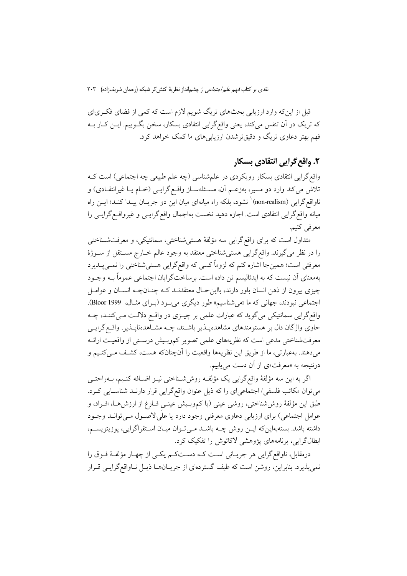قبل از اینکه وارد ارزیابی بحثهای تریگ شویم لازم است که کمی از فضای فکـریای که تریک در آن تنفس میکند، یعنی واقع گرایی انتقادی بسکار، سخن بگـوییم. ایــن کــار بــه فهم بهتر دعاوی تریگ و دقیقترشدن ارزیابی های ما کمک خواهد کرد.

# ۲. واقع گرایی انتقادی بسکا,

واقع گرایی انتقادی بسکار رویکردی در علمشناسی (چه علم طبیعی چه اجتماعی) است ک تلاش میکند وارد دو مسیر، بهزعـم آن، مسـئلهسـاز واقـع گرایــی (خـام یـا غیرانتقـادی) و ناواقع گرایی (non-realism)<sup>\</sup> نشود، بلکه راه میانهای میان این دو جریــان پیــدا کنــد؛ ایــن راه میانه واقع گرایی انتقادی است. اجازه دهید نخست بهاجمال واقع گرایــی و غیرواقــع گرایــی را معرفي كنيم.

متداول است که برای واقع گرایی سه مؤلفهٔ هستیشناختی، سمانتیکی، و معرفتشـناختی را در نظر مي گيرند. واقع گرايي هستي شناختي معتقد به وجود عالم خــارج مســتقل از ســوژهٔ معرفتي است؛ همينجا اشاره كنم كه لزوماً كسي كه واقع گرايي هستي شناختي را نمـي يــذيرد بهمعنای آن نیست که به ایدئالیسم تن داده است. برساختگرایان اجتماعی عموماً بــه وجــود چیزی بیرون از ذهن انسان باور دارند، بااین حـال معتقدنــد کــه چنــانچــه انســان و عوامــل اجتماعی نبودند، جهانی که ما «میشناسیم» طور دیگری میبود (برای مثال، 1999 Bloor). واقع گرایی سمانتیکی می گوید که عبارات علمی بر چیـزی در واقـع دلالـت مـیکننـد، چــه حاوی واژگان دال بر هستومندهای مشاهدهپـذیر باشـند، چـه مشـاهدهناپـذیر. واقـع گرایـی معرفتشناختی مدعی است که نظریههای علمی تصویر کموبیش درستی از واقعیت ارائـه میدهند. بهعبارتی، ما از طریق این نظریهها واقعیت را آنچنانکه هست، کشـف مـیکنـیم و درنتیجه به «معرفت»ی از آن دست می یابیم.

اگر به این سه مؤلفهٔ واقع گرایی یک مؤلفه روششناختی نیـز اضـافه کنـیم، بــهراحتــی می توان مکاتب فلسفی/ اجتماعیای را که ذیل عنوان واقع گرایی قرار دارنـد شناسـایی کـرد. طبق این مؤلفهٔ روششناختی، روشی عینی (یا کموبـیش عینـی فـارغ از ارزش۵هـا، افـراد، و عوامل اجتماعي) براي ارزيابي دعاوي معرفتي وجود دارد يا علي(لاصـول مـي توانــد وجــود داشته باشد. بستهبهاین که ایــن روش چــه باشــد مــیتـوان میــان اســتقراگرایی، پوزیتویســم، ابطالگرایی، برنامههای پژوهشی لاکاتوش را تفکیک کرد.

درمقابل، ناواقع گرایی هر جریـانی اسـت کـه دسـتکـم یکـی از چهـار مؤلفـهٔ فـوق را نمي پذيرد. بنابراين، روشن است كه طيف گستردهاي از جريــانهــا ذيــل نــاواقع گرايــي قــرار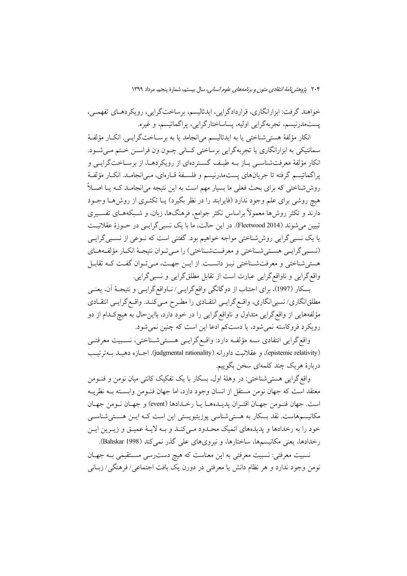خواهند گرفت: ابزارانگاري، قراردادگرايي، ايدئاليسم، برساختگرايي، رويكردهـاي تفهمـي، يستەمدرنيسم، تجربەگرايي اوليە، يساساختارگرايي، پراگماتيسم، و غيره.

انكار مؤلفهٔ هستی شناختی یا به ایدئالیسم می(نجامد یا به برسـاختگرایــی. انكــار مؤلفــهٔ سمانتیکی به ابزارانگاری یا تجربهگرایی برساختی کسانی چـون ون فراســن خـتم مــیشــود. انکار مؤلفهٔ معرفتشناسـی بـاز بـه طیـف گسـتردهای از رویکردهـا، از برسـاختگرایـی و پراگماتیسم گرفته تا جریانهای پستمدرنیسم و فلسـفهٔ قـارهای، مـی|نجامـد. انکـار مؤلفـهٔ روششاختی که برای بحث فعلی ما بسیار مهم است به این نتیجه میانجامـد کـه یـا اصـلاً هیچ روشی برای علم وجود ندارد (فایرابند را در نظر بگیرد) یــا تکثــری از روش۵حـا وجــود دارند و تکثر روش ها معمولاً براساس تکثر جوامع، فرهنگها، زبان، و شـبکههـای تفسـیری تبیین میشوند (Fleetwood 2014). در این حالت، ما با یک نسبی گرایسی در حـوزهٔ عقلانیـت یا یک نسبی گرایی روش شناختی مواجه خواهیم بود. گفتنی است که نـوعی از نسـبی گرایـی (نسبيي گرايسي هستي شـناختي و معرفـتشـناختي) را مـي تـوان نتيجـهٔ انكـار مؤلفـههـاي هستی شناختی و معرفت شناختی نیـز دانسـت. از ایـن جهـت، مـی تـوان گفـت کـه تقابـل واقع گرایی و ناواقع گرایی عبارت است از تقابل مطلق گرایی و نسبی گرایی.

بسکار (1997)، برای اجتناب از دوگانگی واقع گرایـی/ نـاواقع گرایـی و نتیجـهٔ آن، یعنـی مطلقانگاری/ نسبی|نگاری، واقـع گرایــی انتقــادی را مطــرح مــیکنــد. واقــع گرایــی انتقــادی مؤلفههایی از واقع گرایی متداول و ناواقع گرایی را در خود دارد، بااین حال به هیچ کـدام از دو رويكرد فروكاسته نمي شود، يا دستكم ادعا اين است كه چنين نمي شود.

واقع گرایی انتقادی سـه مؤلفـه دارد: واقـع گرایـی هسـتیشـناختی، نسـبیت معرفتـی (epistemic relativity)، و عقلانیت داورانه (judgmental rationality). اجبازه دهیبد ببهترتیب دربارهٔ هریک چند کلمهای سخن بگوییم.

واقع گرايي هستي شناختي: در وهلهٔ اول، بسكار با يک تفکيک کانتي ميان نومن و فنــومن معتقد است كه جهان نومن مستقل از انسان وجود دارد، اما جهان فنــومن وابســته بــه نظريــه است. جهان فنـومن جهـان اقتـران يديـدههـا يـا رخـدادها (event) و جهـان نـومن جهـان مکانیسمهاست. نقد بسکار به هستی شناسی پوزیتیویستی این است کـه ایــن هســتی شناســی خود را به رخدادها و پدیدههای اتمیک محـدود مـیکنـد و بـه لایـهٔ عمیـق و زیـرین ایـن رخدادها، یعنی مکانیسمها، ساختارها، و نیرویهای علی گذر نمی کند (Bahskar 1998).

نسبیت معرفتی: نسبیت معرفتی به این معناست که هیچ دست٫سی مسـتقیمی بــه جهـان نومن وجود ندارد و هر نظام دانش یا معرفتی در دورن یک بافت اجتماعی/فرهنگی/زبــانی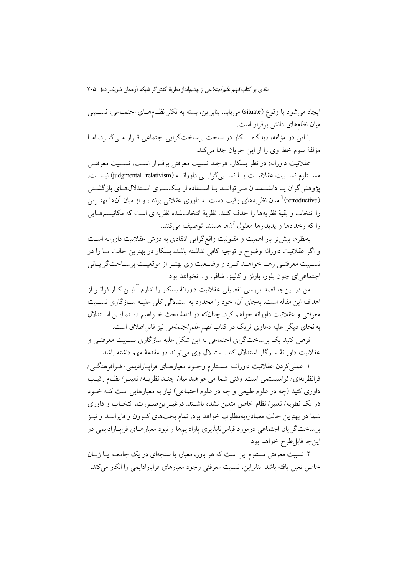ايجاد مي شود يا وقوع (situate) مي يابد. بنابراين، بسته به تكثر نظـامهــاي اجتمــاعي، نسـبيتي مبان نظامهای دانش برقرار است.

با این دو مؤلفه، دیدگاه بسکار در ساحت برساختگرایی اجتماعی قـرار مـیگیـرد، امـا مؤلفة سوم خط وى را از اين جريان جدا مى كند.

عقلانیت داورانه: در نظر بسکار، هرچند نسبیت معرفتی برقـرار اسـت، نسـبیت معرفتــی مســتلزم نســبيت عقلانيــت يـــا نســبي گرايـــي داورانــه (judgmental relativism) نيســت. یژوهش گران یـا دانشــمندان مــی تواننــد بــا اســتفاده از یــکســری اســتدلالهــای بازگشــتی (retroductive)<sup>۲</sup> میان نظریههای رقیب دست به داوری عقلانی بزنند، و از میان آنها بهتــرین را انتخاب و بقيهٔ نظريهها را حذف كنند. نظريهٔ انتخابشده نظريهاي است كه مكانيسمهــايي را كه رخدادها و يديدارها معلول آنها هستند توصيف مي كنند.

بهنظرم، بیش تر بار اهمیت و مقبولیت واقع گرایی انتقادی به دوش عقلانیت داورانه است و اگر عقلانیت داورانه وضوح و توجیه کافی نداشته باشد، بسکار در بهترین حالت مـا را در نسبیت معرفتـی رهـا خواهـد كـرد و وضـعیت وي بهتـر از موقعیـت برسـاختگرایـاني اجتماعیای چون بلور، بارنز و کالینز، شافر، و... نخواهد بود.

من در این جا قصد بررسی تفصیلی عقلانیت داورانهٔ بسکار را ندارم. <sup>۳</sup> این کیار فراتیر از اهداف این مقاله است. بهجای آن، خود را محدود به استدلالی کلی علیـه ســازگاری نســبیت معرفتی و عقلانیت داورانه خواهم کرد. چنانکه در ادامهٔ بحث خــواهیم دیــد، ایــن اســتدلال بهانحای دیگر علیه دعاوی تریگ در کتاب *فهم علم اجتماعی* نیز قابل اطلاق است.

فرض کنید یک برساختگرای اجتماعی به این شکل علیه سازگاری نسـبیت معرفتـی و عقلانیت داورانهٔ سازگار استدلال کند. استدلال وی می تواند دو مقدمهٔ مهم داشته باشد:

١. عملي كردن عقلانيت داورانــه مســتلزم وجــود معيارهــاي فرايــاراديمي/ فــرافرهنگــي/ فرانظريهاي/ فراسيستمي است. وقتي شما مي خواهيد ميان چنـد نظريـه/ تعبيـر/ نظـام رقيـب داوری کنید (چه در علوم طبیعی و چه در علوم اجتماعی) نیاز به معیارهایی است کـه خــود در یک نظریه/ تعبیر/نظام خاص متعین نشده باشـند. درغیــراین٫صــورت، انتخــاب و داوری شما در بهترین حالت مصادرهبهمطلوب خواهد بود. تمام بحثهای کـوون و فایرابنـد و نیـز برساختگرایان اجتماعی درمورد قیاسiباپذیری پارادایمها و نبود معیارهـای فراپـارادایمی در اين جا قابل طرح خواهد بود.

۲. نسبیت معرفتی مستلزم این است که هر باور، معیار، یا سنجهای در یک جامعـه یــا زبــان خاص تعین یافته باشد. بنابراین، نسبیت معرفتی وجود معیارهای فراپارادایمی را انکار می کند.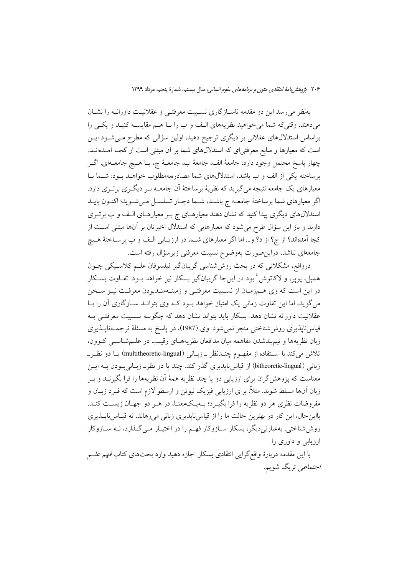بهنظر می رسد این دو مقدمه ناسازگاری نسبیت معرفتـی و عقلانیـت داورانــه را نشــان میدهند. وقتیکه شما میخواهید نظریههای الـف و ب را بـا هـم مقایســه کنیـد و یکــی را براساس استدلالهای عقلانی بر دیگری ترجیح دهید، اولین سؤالی که مطرح مـیشـود ایــن است که معیارها و منابع معرفتی|ی که استدلالهای شما بر آن مبتنی است از کجـا آمـدهانــد. چهار پاسخ محتمل وجود دارد: جامعهٔ الف، جامعهٔ ب، جامعـهٔ ج، یــا هــیچ جامعــهای. اگــر برساخته یکی از الف و ب باشد، استدلالهای شما مصادرهبهمطلوب خواهـد بـود: شـما بـا معیارهای یک جامعه نتیجه می گیرید که نظریهٔ برساختهٔ آن جامعــه بــر دیگــری برتــری دارد. اگر معیارهای شما برساختهٔ جامعـه ج باشـد، شـما دچـار تسلسـل مـیشـوید؛ اکنـون بایـد استدلال های دیگری پیدا کنید که نشان دهند معیارهـای ج بـر معیارهـای الـف و ب برتـری دارند و باز این سؤال طرح میشود که معیارهایی که استدلال اخیرتان بر آنها مبتنی است از كجا آمدهاند؟ از ج؟ از د؟ و… اما اگر معیارهای شــما در ارزیــابی الـف و ب برســاختهٔ هــیچ جامعهای نباشد، دراین صورت بهوضوح نسبیت معرفتی زیرسؤال رفته است.

درواقع، مشکلاتی که در بحث روش شناسی گریبانگیر فیلسوفان علیم کلاسیکی چیون همپل، پوپر، و لاکاتوش ٔ بود در اینجا گریبانگیر بسکار نیز خواهد بــود. تفــاوت بســکار در این است که وی هــمزمـان از نسـبیت معرفتــی و زمینــهمنــدبودن معرفــت نیــز ســخن می گوید، اما این تفاوت زمانی یک امتیاز خواهد بود کـه وی بتوانـد سـازگاری آن را بـا عقلانیت داورانه نشان دهد. بسکار باید بتواند نشان دهد که چگونـه نسـبیت معرفتـی بـه قیاس،اپذیری روش،شناختی منجر نمیشود. وی (1987)، در پاسخ به مسئلهٔ ترجمــهناپــذیری زبان نظریهها و نیم.بندشدن مفاهمه میان مدافعان نظریههـای رقیـب در علـمشناسـی کـوون، تلاش می کند با استفاده از مفهـوم چنــدنظر \_زبــانی (multitheoretic-lingual) یــا دو نظـر\_ زبانی (bitheoretic-lingual) از قیاس ناپذیری گذر کند. چند یا دو نظر\_زبـانی بـودن بـه ایــن معناست که پژوهش گران برای ارزیابی دو یا چند نظریه همهٔ آن نظریهها را فرا بگیرنــد و بــر زبان آنها مسلط شوند. مثلاً، برای ارزیابی فیزیک نیوتن و ارسطو لازم است که فــرد زبــان و مفروضات نظری هر دو نظریه را فرا بگیـرد؛ بــهیــکـمعنــا، در هــر دو جهــان زیســت کنــد. بااین حال، این کار در بهترین حالت ما را از قیاس ناپذیری زبانی می رهاند، نه قیـاس ناپــذیری روششاختی. بهعبارتیدیگر، بسکار سـازوکار فهـم را در اختیـار مـیگـذارد، نــه سـازوکار ارزیابی و داوری را.

با اين مقدمه دربارهٔ واقع گرايبي انتقادي بسكار اجازه دهيد وارد بحثهاي كتاب *فهم علــم اجتماعی* تریگ شویم.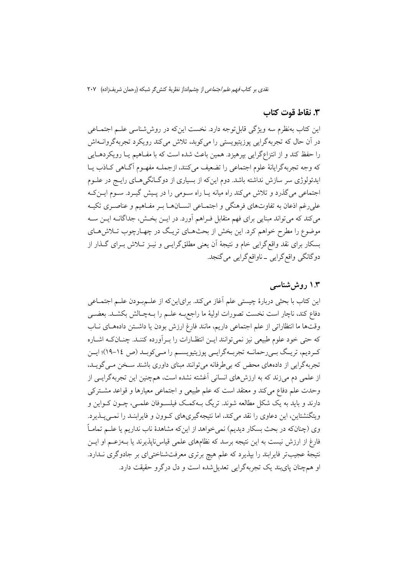### ٣. نقاط قوت كتاب

این کتاب بهنظرم سه ویژگی قابل توجه دارد. نخست این که در روششناسی علـم اجتمـاعی در آن حال که تجربهگرایی پوزیتیویستی را میکوبد، تلاش میکند رویکرد تجربهگروانــهاش را حفظ کند و از انتزاعگرايي بيرهيزد. همين باعث شده است که با مفـاهيم يــا رويکردهــايي كه وجه تجربه گرایانهٔ علوم اجتماعی را تضعیف میكنند، ازجملـه مفهـوم آگـاهی كـاذب يـا ایدئولوژی سر سازش نداشته باشد. دوم اینکه از بسیاری از دوگـانگی۵حـای رایــج در علــوم اجتماعی می گذرد و تلاش می کند راه میانه یـا راه سـومی را در پـیش گیـرد. سـوم ایـن کـه علي رغم اذعان به تفاوتهاي فرهنگي و اجتمــاعي انســانهــا بــر مفــاهيم و عناصــري تكيــه میکند که می تواند مبنایی برای فهم متقابل فـراهم آورد. در ایــن بخــش، جداگانــه ایــن ســه موضوع را مطرح خواهم کرد. این بخش از بحثهـای تریـگ در چهـارچوب تـلاش۱هـای بسکار برای نقد واقع گرایی خام و نتیجهٔ آن یعنی مطلقگرایــی و نیــز تــلاش بــرای گــذار از دوگانگی واقع گرایی ـ ناواقع گرایی می گنجد.

### ۱.۳ روش شناسی

این کتاب با بحثی دربارهٔ چیستی علم أغاز میکند. برایاینکه از علــمبـودن علــم اجتمــاعی دفاع كند، ناچار است نخست تصورات اوليهٔ ما راجع به علــم را بــهچــالش بكشــد. بعضــي وقتها ما انتظاراتي از علم اجتماعي داريم، مانند فارغ ارزش بودن يا داشتن دادههاي ناب که حتی خود علوم طبیعی نیز نمیتوانند ایـن انتظـارات را بـرآورده کننـد. چنـانکـه اشـاره كـرديم، تريـگ بـيرحمانــه تجربــهگرايــي پوزيتيويســم را مــي6وبــد (ص ١٤-١٩)؛ ايــن تجربهگرایی از دادههای محض که بی طرفانه می توانند مبنای داوری باشند سـخن مـی گویـد. از علمی دم می زند که به ارزش های انسانی آغشته نشده است، همچنین این تجربهگرایـی از وحدت علم دفاع میکند و معتقد است که علم طبیعی و اجتماعی معیارها و قواعد مشترکی دارند و باید به یک شکل مطالعه شوند. تریگ بــهکمــک فیلســوفان علمــی، چــون کــواین و ویتگنشتاین، این دعاوی را نقد می کند، اما نتیجهگیریهای کـوون و فایرابنـد را نمـی پـذیرد. وی (چنانکه در بحث بسکار دیدیم) نمی خواهد از اینکه مشاهدهٔ ناب نداریم یا علــم تمامـاً فارغ از ارزش نیست به این نتیجه برسد که نظامهای علمی قیاسiلپذیرند یا بــهزعــم او ایــن نتیجهٔ عجیبتر فایرابند را بپذیرد که علم هیچ برتری معرفتشناختیای بر جادوگری نـدارد. او همچنان پایبند یک تجربهگرایی تعدیل شده است و دل درگرو حقیقت دارد.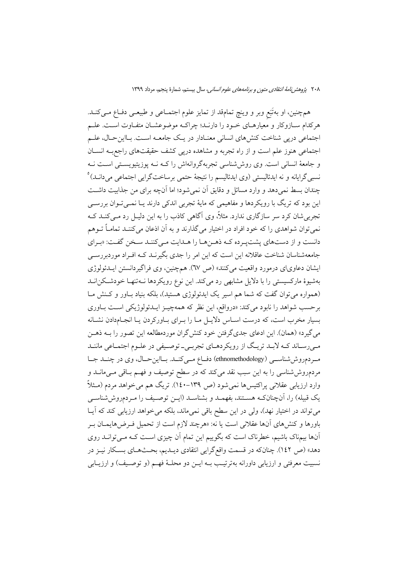همچنین، او بهتَبَع وبر و وینچ تمامقد از تمایز علوم اجتمـاعی و طبیعـی دفـاع مـیکنـد. هرکدام سـازوکار و معیارهـای خـود را دارنـد؛ چراکـه موضوعشـان متفـاوت اسـت. علـم اجتماعی دریی شناخت کنشهای انسانی معنـادار در یـک جامعـه اسـت. بـااینحـال، علـم اجتماعی هنوز علم است و از راه تجربه و مشاهده درپی کشف حقیقتهای راجع به انسـان و جامعهٔ انسانی است. وی روششاسی تجربهگروانهاش را کـه نــه پوزیتیویســتی اســت نــه نسبي گرايانه و نه ايدئاليستي (وي ايدئاليسم را نتيجهٔ حتمي برساختگرايي اجتماعي مي<انــد)° چندان بسط نمی دهد و وارد مسائل و دقایق آن نمی شود؛ اما آنچه برای من جذابیت داشت این بود که تریگ با رویکردها و مفاهیمی که مایهٔ تجربی اندکی دارند یــا نمــیتــوان بررســی تجربی شان کرد سر سازگاری ندارد. مثلاً، وی آگاهی کاذب را به این دلیـل رد مـی کنــد کــه نمي توان شواهدي را كه خود افراد در اختيار مي گذارند و به آن اذعان مي كننـد تمامـاً تــوهم دانست و از دستهای پشتیـرده کـه ذهـنهـا را هـدایت مـیکننـد سـخن گفـت: «بـرای جامعهشناسان شناخت عاقلانه این است که این امر را جدی بگیرنــد کــه افــراد موردبررســی ایشان دعاویای درمورد واقعیت میکنند» (ص ٦٧). همچنین، وی فراگیردانستن ایــدئولوژی بهشیوهٔ مارکسیستی را با دلایل مشابهی رد میکند. این نوع رویکردها نـهتنهـا خودشـکن انـد (همواره می توان گفت که شما هم اسیر یک ایدئولوژی هستید)، بلکه بنیاد باور و کـنش مـا برحسب شواهد را نابود می کند: «درواقع، این نظر که همهچیـز ایــدئولوژیکی اسـت بــاوری بسیار مخرب است، که درست اسـاس دلایـل مـا را بـرای بـاورکردن یـا انجـام‹دادن نشـانه می گیرد» (همان). این ادعای جدیگر فتن خود کنش گران موردمطالعه این تصور را بــه ذهــن می رسـاند کـه لابـد تريـگ از رويکردهـاي تجربـي- توصـيفي در علـوم اجتمـاعي ماننـد مردم روششاسی (ethnomethodology) دفاع مهکند. بااین حال، وی در چند جا مردمروششناسی را به این سبب نقد میکند که در سطح توصیف و فهـم بـاقی مـیمانــد و وارد ارزیابی عقلانی پراکتیسها نمی شود (ص ۱۳۹–۱٤۰). تریگ هم می خواهد مردم (مـثلاً یک قبیله) را، آنچنانکـه هسـتند، بفهمـد و بشناسـد (ایـن توصـیف را مـردمروششناسـی می تواند در اختیار نهد)، ولی در این سطح باقی نمی،ماند، بلکه می خواهد ارزیابی کند که آیـا باورها و کنشهای آنها عقلانی است یا نه: «هرچند لازم است از تحمیل فـرضهایمــان بـر آنها بیمناک باشیم، خطرناک است که بگوییم این تمام آن چیزی اسـت کـه مـی توانــد روی دهد» (ص ١٤٢). چنانکه در قسمت واقع گرایی انتقادی دیــدیم، بحــثهــای بســکار نیــز در نسبيت معرفتي و ارزيابي داورانه بهترتيب بــه ايــن دو محلــهٔ فهــم (و توصــيف) و ارزيــابي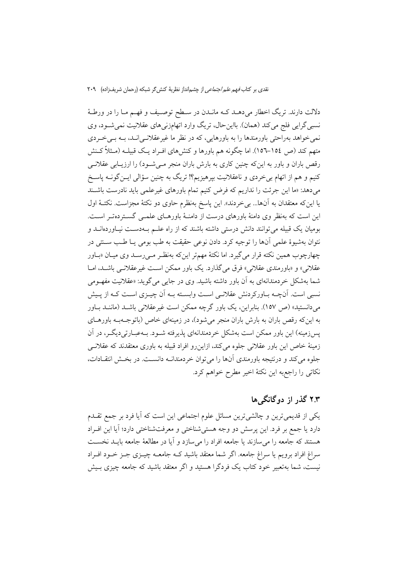دلالت دارند. تریگ اخطار میدهـد کـه مانـدن در سـطح توصـیف و فهـم مـا را در ورطـهٔ نسبی گرایی فلج میکند (همان). بااین حال، تریگ وارد اتهامزنی۵ای عقلانیت نمیشود، وی نمي خواهد بهراحتي باورمندها را به باورهايي، كه در نظر ما غيرعقلانـي|نــد، بــه بــي خــردي متهم کند (ص ١٥٤–١٥٦). اما چگونه هم باورها و کنشهای افـراد یـک قبیلـه (مـثلاً کــنش رقص باران و باور به اینکه چنین کاری به بارش باران منجر مـیشـود) را ارزیـابی عقلانـی کنیم و هم از اتهام بی خردی و ناعقلانیت بیرهیزیم؟! تریگ به چنین سؤالی ایــن گونــه پاســخ می دهد: «ما این جرئت را نداریم که فرض کنیم تمام باورهای غیرعلمی باید نادرست باشند يا اين كه معتقدان به آنها... بي خردند». اين پاسخ بهنظرم حاوي دو نكتهٔ مجزاست. نكتـهٔ اول این است که بهنظر وی دامنهٔ باورهای درست از دامنـهٔ باورهـای علمـی گسـتردهتـر اسـت. بومیان یک قبیله میتوانند دانش درستی داشته باشند که از راه علـم بـهدسـت نیـاوردهانـد و نتوان بهشیوهٔ علمی آنها را توجیه کرد. دادن نوعی حقیقت به طب بومی یـا طـب ســنتی در چهارچوب همین نکته قرار میگیرد. اما نکتهٔ مهمتر اینکه بهنظر مـیرسـد وی میـان «بـاور عقلانی» و «باورمندی عقلانی» فرق می گذارد. یک باور ممکن است غیرعقلانـی باشـد. امـا شما بهشکل خردمندانهای به اَن باور داشته باشید. وی در جایبی میگوید: «عقلانیت مفهـومی نسبی است. آنچــه بــاورکردنش عقلانــی اســت وابســته بــه آن چیــزی اســت کــه از پــیش میدانستید» (ص ۱۵۷). بنابراین، یک باور گرچه ممکن است غیرعقلانی باشـد (ماننـد بــاور به این که رقص باران به بارش باران منجر می شود)، در زمینهای خاص (باتوجــهبــه باورهــای يس;زمينه) اين باور ممكن است بهشكل خردمندانهاي يذيرفته شــود. بــهعبــارتي(ديگــر، در آن زمینهٔ خاص این باور عقلانی جلوه میکند، ازاین رو افراد قبیله به باوری معتقدند که عقلانی جلوه مي كند و درنتيجه باورمندي آنها را مي توان خردمندانـه دانسـت. در بخـش انتقـادات، نكاتي را راجع به اين نكتهٔ اخير مطرح خواهم كرد.

# ۲.۳ گذر از دوگانگم ها

یکی از قدیمیترین و چالشی ترین مسائل علوم اجتماعی این است که آیا فرد بر جمع تقــدم دارد یا جمع بر فرد. این پرسش دو وجه هستی شناختی و معرفتشناختی دارد؛ آیا این افـراد هستند که جامعه را می سازند یا جامعه افراد را می سازد و آیا در مطالعهٔ جامعه بایـد نخسـت سراغ افراد برویم یا سراغ جامعه. اگر شما معتقد باشید کـه جامعــه چیــزی جــز خــود افــراد نیست، شما بهتعبیر خود کتاب یک فردگرا هستید و اگر معتقد باشید که جامعه چیزی بـیش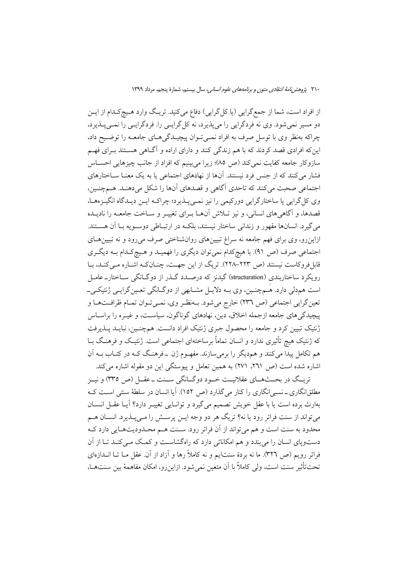از افراد است، شما از جمع گرایی (یا کل گرایی) دفاع میکنید. تریـگ وارد هـیچکـدام از ایــن دو مسیر نمیشود. وی نه فردگرایی را میپذیرد، نه کل گرایـی را. فردگرایـی را نمـیپـذیرد، چراکه بهنظر وي با توسل صرف به افراد نمي تـوان پيچيـدگيهـاي جامعـه را توضـيح داد، این که افرادی قصد کردند که با هم زندگی کنند و دارای اراده و آگـاهی هسـتند بـرای فهـم سازوکار جامعه کفایت نمی کند (ص ٨٥)؛ زیرا می بینیم که افراد از جانب چیزهایی احســاس فشار می کنند که از جنس فرد نیستند. آنها از نهادهای اجتماعی یا به یک معنــا ســاختارهای اجتماعی صحبت می کنند که تاحدی آگاهی و قصدهای آنها را شکل می دهنـد. هـمچنـین، وی کل گرایی یا ساختارگرایی دورکیمی را نیز نمـی پــذیرد؛ چراکــه ایــن دیــدگاه انگیــزههــا، قصدها، و آگاهی های انسانی، و نیز تـلاش آنهــا بـرای تغییـر و ســاخت جامعــه را نادیــده مي گيرد. انسانها مقهور و زنداني ساختار نيستند، بلكـه در ارتبـاطي دوسـويه بـا آن هســتند. ازاینرو، وی برای فهم جامعه نه سراغ تبیینهای روانشناختی صرف میرود و نه تبیینهای اجتماعی صرف (ص ۹۱). با هیچکدام نمی توان دیگری را فهمیـد و هـیچکـدام بـه دیگـری قابل فروکاست نیستند (ص ٢٢٣-٢٢٨). تریگ از این جهت، چنان کـه اشـاره مـی کنـد، بـا رویکرد ساختاربندی (structuration) گیدنز که درصـدد گــذر از دوگــانگی ســاختار\_ عامــل است هم دلی دارد. هُــمچنـین، وي بــه دلايــل مشــابهي از دوگــانگي تعـين گرايــي ژنتيكــي\_ تعین گرایی اجتماعی (ص ٢٣٦) خارج میشود. بـهنظـر وي، نمـیتوان تمـام ظرافـتهـا و پیچیدگی های جامعه ازجمله اخلاق، دین، نهادهای گوناگون، سیاست، و غیـره را براسـاس ژنتیک تبیین کرد و جامعه را محصول جبری ژنتیک افراد دانست. همچنـین، نبایــد پــذیرفت که ژنتیک هیچ تأثیری ندارد و انسان تماماً برساختهای اجتماعی است. ژنتیک و فرهنگ بــا هم تکامل پیدا میکنند و همدیگر را برمیسازند. مفهـوم ژن \_فرهنـگ کـه در کتـاب بــه آن اشاره شده است (ص ۲۶۱، ۲۷۱) به همین تعامل و پیوستگی این دو مقوله اشاره می کند.

تريـگ در بحــثهــاي عقلانيــت خــود دوگــانگي ســنت ــ عقــل (ص ٣٣٥) و نيــز مطلقانگاری ـ نسبی انگاری را کنار می گذارد (ص ١٥٢). آیا انسان در سلطهٔ سنتی اسـت کـه بهارث برده است یا با عقل خویش تصمیم میگیرد و توانایی تغییـر دارد؟ آیـا عقـل انسـان میتواند از سنت فراتر رود یا نه؟ تریگ هر دو وجه ایــن پرســش را مــیپــذیرد. انســان هــم محدود به سنت است و هم مي تواند از آن فراتر رود. سـنت هـم محـدوديتهـايي دارد كـه دستویای انسان را می بندد و هم امکاناتی دارد که راهگشاست و کمک می کند تـا از آن فراتر رویم (ص ٣٢٦). ما نه بردهٔ سنتایم و نه کاملاً رها و آزاد از آن. عقل مــا تــا انــدازهای تحتتأثير سنت است، ولي كاملاً با آن متعين نمي شود. ازاين رو، امكان مفاهمهٔ بين سنتهــا،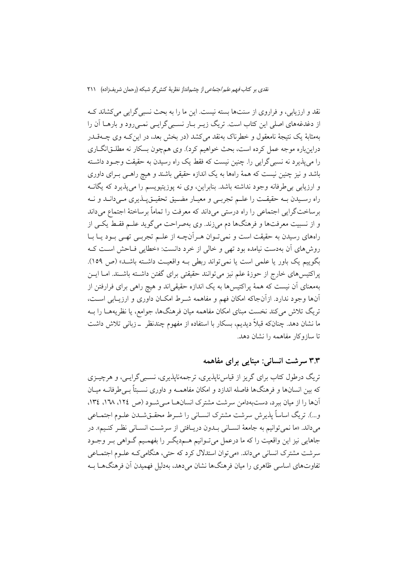نقد و ارزیابی، و فراروی از سنتها بسته نیست. این ما را به بحث نسبی گرایی می کشاند ک از دغدغههای اصلی این کتاب است. تریگ زیـر بـار نسـبی گرایـی نمـی رود و بارهــا آن را بهمثابهٔ یک نتیجهٔ نامعقول و خطرناک بهنقد می کشد (در بخش بعد، در این کــه وی چــهقــدر دراینباره موجه عمل کرده است، بحث خواهیم کرد). وی همچون بسکار نه مطلـق|نگــاری را می پذیرد نه نسبی گرایی را. چنین نیست که فقط یک راه رسیدن به حقیقت وجـود داشـته باشد و نیز چنین نیست که همهٔ راهها به یک اندازه حقیقی باشند و هیچ راهـی بـرای داوری و ارزیابی بی طرفانه وجود نداشته باشد. بنابراین، وی نه پوزیتیویسم را میپذیرد که یگانــه راه رسـيدن بـه حقيقـت را علـم تجربـي و معيـار مضـيق تحقيـقيـذيري مـي(دانـد و نـه برساختگرایی اجتماعی را راه درستی میداند که معرفت را تماماً برساختهٔ اجتماع میداند و از نسبیت معرفتها و فرهنگها دم میزند. وی بهصراحت می گوید علـم فقـط یکـی از راههای رسیدن به حقیقت است و نمی تـوان هـر آنچــه از علــم تجربــی تهــی بــود یــا بــا روشهای آن بهدست نیامده بود تهی و خالی از خرد دانست: «خطایی فـاحش اسـت کـه بگوییم یک باور یا علمی است یا نمی تواند ربطی بـه واقعیـت داشـته باشـد» (ص ١٥٩). يراكتيسهاي خارج از حوزهٔ علم نيز مي توانند حقيقتي براي گفتن داشـته باشـند. امــا ايــن بهمعنای آن نیست که همهٔ پراکتیس۵ا به یک اندازه حقیقیاند و هیچ راهی برای فرارفتن از آنها وجود ندارد. ازآنجاکه امکان فهم و مفاهمه شـرط امکـان داوری و ارزیـابی اسـت، تریگ تلاش میکند نخست مبنای امکان مفاهمه میان فرهنگها، جوامع، یا نظریههـا را بــه ما نشان دهد. چنانکه قبلاً دیدیم، بسکار با استفاده از مفهوم چندنظر ٍ \_زبانی تلاش داشت تا سازوكار مفاهمه را نشان دهد.

### ۳.۳ سرشت انسانی: مبنایی برای مفاهمه

تریگ درطول کتاب برای گریز از قیاس ناپذیری، ترجمهناپذیری، نسـبی گرایــی، و هرچیــزی که بین انسانها و فرهنگها فاصله اندازد و امکان مفاهمــه و داوری نسـبتاً بــیطرفانــه میــان آنها را از میان ببرد، دستبهدامن سرشت مشترک انسانها مهشود (ص ١٢٤، ١٦٨، ١٣٤، و...). تريگ اساساً يذيرش سرشت مشترك انســاني را شــرط محقــقشــدن علــوم اجتمــاعي مي داند. «ما نمي توانيم به جامعهٔ انسـاني بــدون دريــافتي از سرشــت انســاني نظـر كنـيم». در جاهایی نیز این واقعیت را که ما درعمل میتوانیم هــم<یگــر را بفهمــیم گــواهی بــر وجــود سرشت مشترک انسانی می داند. «می توان استدلال کرد که حتی، هنگامی کـه علـوم اجتمــاعی تفاوتهای اساسی ظاهری را میان فرهنگها نشان می دهد، بهدلیل فهمیدن آن فرهنگهــا بــه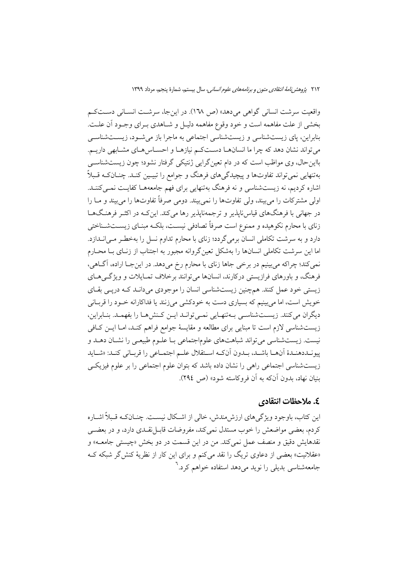واقعیت سرشت انسانی گواهی می دهد» (ص ١٦٨). در این جا، سرشت انسـانی دسـتکـم بخشی از علت مفاهمه است و خود وقوع مفاهمه دلیـل و شـاهدی بـرای وجـود آن علـت. بنابراین، پای زیستشناسی و زیستشناسی اجتماعی به ماجرا باز میشود، زیستشناسی می تواند نشان دهد که چرا ما انسانهـا دسـتکـم نیازهـا و احسـاسهـای مشـابهی داریـم. بااین حال، وی مواظب است که در دام تعین گرایی ژنتیکی گرفتار نشود؛ چون زیستشناسی بهتنهایی نمیتواند تفاوتها و پیچیدگیهای فرهنگ و جوامع را تبیـین کنـد. چنــانکـه قـبلاً اشاره کردیم، نه زیستشناسی و نه فرهنگ بهتنهایی برای فهم جامعههـا کفایـت نمـیکننـد. اولی مشترکات را می بیند، ولی تفاوتها را نمی بیند. دومی صرفاً تفاوتها را می بیند و مــا را در جهانی با فرهنگهای قیاس ناپذیر و ترجمهناپذیر رها می کند. این کـه در اکثــر فرهنـگـهــا زنای با محارم نکوهیده و ممنوع است صرفاً تصادفی نیسـت، بلکـه مبنـای زیســتشــناختی دارد و به سرشت تکاملی انسان برمی گردد؛ زنای با محارم تداوم نسل را بهخطـر مـی|نــدازد. اما این سرشت تکاملی انسانها را بهشکل تعین گروانه مجبور به اجتناب از زنبای بـا محبارم نمیکند؛ چراکه میبینیم در برخی جاها زنای با محارم رخ میدهد. در این جـا اراده، آگـاهی، فرهنگ، و باورهای فرازیستی درکارند، انسانها می توانند برخلاف تمـایلات و ویژگـیهـای زیستی خود عمل کنند. همچنین زیستشناسی انسان را موجودی میدانـد کـه دریـی بقـای خویش است، اما می بینیم که بسیاری دست به خودکشی می زنند یا فداکارانه خـود را قربـانی دیگران می کنند. زیستشناسی به تنهایی نمی توانـد ایـن کـنش۱مـا را بفهمـد. بنـابراین، زیستشناسی لازم است تا مبنایی برای مطالعه و مقایسهٔ جوامع فراهم کنـد، امـا ایــن کــافی نیست. زیستشناسی می تواند شباهتهای علوماجتماعی بـا علـوم طبیعـی را نشـان دهــد و پيونــددهنــدهٔ اَنهـــا باشــد، بــدون اَنكــه اســتقلال علــم اجتمــاعي را قربــاني كنــد: «شــايد زیستشناسی اجتماعی راهی را نشان داده باشد که بتوان علوم اجتماعی را بر علوم فیزیکی بنيان نهاد، بدون آنكه به آن فروكاسته شود» (ص ٢٩٤).

### ٤. ملاحظات انتقادي

این کتاب، باوجود ویژگی های ارزش مندش، خالی از اشکال نیسـت. چنــانکـه قـبلاً اشــاره کردم، بعضی مواضعش را خوب مستدل نمی کند، مفروضات قابــل نقــدی دارد، و در بعضــی نقدهايش دقيق و منصف عمل نمي كند. من در اين قسمت در دو بخش «چيستي جامعــه» و «عقلانیت» بعضی از دعاوی تریگ را نقد میکنم و برای این کار از نظریهٔ کنش گر شبکه ک جامعهشناسی بدیلی را نوید می دهد استفاده خواهم کرد.<sup>7</sup>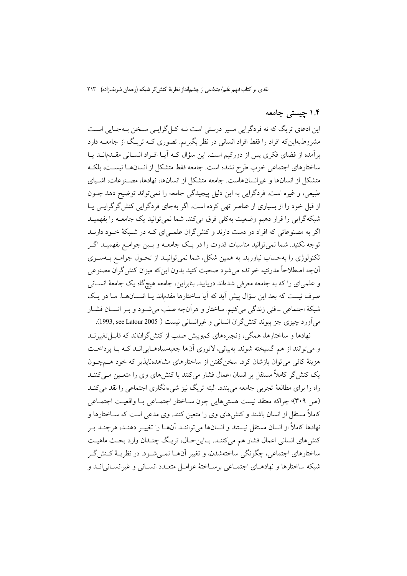## ۱.۴ حیستی جامعه

این ادعای تریگ که نه فردگرایی مسیر درستی است نــه کــل گرایــی ســخن بــهجـایی اســت مشروطبهاین که افراد را فقط افراد انسانی در نظر بگیریم. تصوری کـه تریـگ از جامعــه دارد برآمده از فضای فکری پس از دورکیم است. این سؤال کـه آیـا افـراد انسـانی مقــدمانــد یــا ساختارهای اجتماعی خوب طرح نشده است. جامعه فقط متشکل از انسانها نیسـت، بلکـه متشكل از انسانها و غيرانسانهاست. جامعه متشكل از انسانها، نهادها، مصـنوعات، اشـياي طبیعی، و غیره است. فردگرایی به این دلیل پیچیدگی جامعه را نمی تواند توضیح دهد چــون از قبل خود را از بسیاری از عناصر تھی کردہ است. اگر بهجای فردگرایی کنش گر گرایے پا شبکهگرایی را قرار دهیم وضعیت بهکلی فرق می کند. شما نمی توانید یک جامعـه را بفهمیـد اگر به مصنوعاتی که افراد در دست دارند و کنش گران علمی ای کـه در شـبکهٔ خـود دارنــد توجه نکنید. شما نمیتوانید مناسبات قدرت را در یـک جامعــه و بــین جوامــع بفهمیــد اگــر تکنولوژی را بهحساب نیاورید. به همین شکل، شما نمی توانیـد از تحـول جوامـع بـهسـوی آنچه اصطلاحاً مدرنتيه خوانده مي شود صحبت كنيد بدون اين كه ميزان كنش گران مصنوعي و علمي اي را كه به جامعه معرفي شدهاند دريابيد. بنابراين، جامعه هيچ گاه يک جامعهٔ انســاني صرف نیست که بعد این سؤال پیش آید که آیا ساختارها مقدماند یـا انســانهــا. مـا در یـک شبکهٔ اجتماعی \_فنی زندگی میکنیم. ساختار و هرآنچه صلب میشـود و بـر انسـان فشـار مي اَورد چيزي جز پيوند کنش گران انساني و غيرانساني نيست ( 1993, see Latour 2005).

نهادها و ساختارها، همگی، زنجیرههای کموبیش صلب از کنش گراناند که قابـل تغییرنــد و می توانند از هم گسیخته شوند. بهبیانی، لاتوری آنها جعبهسیاههـاییانــد کـه بـا پرداخــت هزینهٔ کافی می توان بازشان کرد. سخن گفتن از ساختارهای مشاهدهنایذیر که خود هــمچــون یک کنش گر کاملاً مستقل بر انسان اعمال فشار می کنند یا کنش۵ای وی را متعـین مـی کننــد راه را برای مطالعهٔ تجربی جامعه می بندد. البته تریگ نیز شیءانگاری اجتماعی را نقد می کنـد (ص ٣٠٩)؛ چراكه معتقد نيست هستي هايي چون سـاختار اجتمـاعي يـا واقعيـت اجتمـاعي کاملاً مستقل از انسان باشند و کنشهای وی را متعین کنند. وی مدعی است که ســاختارها و نهادها كاملاً از انسان مستقل نيستند و انسانها مي تواننـد آنهـا را تغييـر دهنـد، هرچنـد بـر كنش(هاي انساني اعمال فشار هم مي كننـد. بـااين حـال، تريـگ چنـدان وارد بحـث ماهيـت ساختارهای اجتماعی، چگونگی ساختهشدن، و تغییر آنهــا نمــی شــود. در نظریــهٔ کــنش گــر شبکه ساختارها و نهادهـای اجتمـاعی برسـاختهٔ عوامـل متعـدد انسـانی و غیرانسـانی|نــد و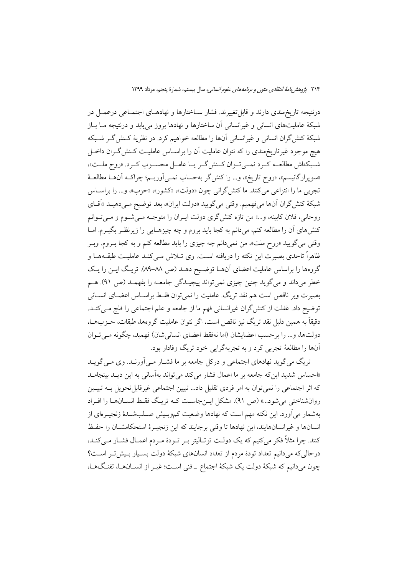درنتیجه تاریخ مندی دارند و قابل تغییرند. فشار سـاختارها و نهادهـای اجتمـاعی درعمـل در شبکهٔ عاملیتهای انسانی و غیرانسانی آن ساختارها و نهادها بروز مییابد و درنتیجه مــا بــاز شبکهٔ کنش گران انسانی و غیرانسانی آنها را مطالعه خواهیم کرد. در نظریهٔ کـنش گــر شــبکه هیچ موجود غیرتاریخمندی را که نتوان عاملیت آن را براسـاس عاملیـت کـنش2ـران داخـل شبكهاش مطالعـه كـرد نمـىتـوان كـنش\$ـريـا عامـل محسـوب كـرد. «روح ملـت»، «سوپرارگانیسم»، «روح تاریخ»، و… را کنش گر بهحساب نمـی|وریـم؛ چراکـه آنهـا مطالعـهٔ تجربي ما را انتزاعي مي كنند. ما كنش گراني چون «دولت»، «كشور»، «حزب»، و… را براسـاس شبكة كنش گران آنها مىفهميم. وقتى مى گوييد «دولت ايران»، بعد توضيح مـىدهيـد «اَقـاى روحانی، فلان کابینه، و...» من تازه کنشگری دولت ایـران را متوجـه مـیشـوم و مـیتـوانم کنشهای آن را مطالعه کنم، میدانم به کجا باید بروم و چه چیزهـایی را زیرنظـر بگیــرم. امــا وقتي مي گوييد «روح ملت»، من نمي دانم چه چيزي را بايد مطالعه كنم و به كجا بـروم. وبـر ظاهراً تاحدی بصیرت این نکته را دریافته است. وی تــلاش مــیکنــد عاملیــت طبقــههــا و گروهها را براساس عاملیت اعضای آنهـا توضـیح دهــد (ص ٨٨-٨٩). تریـگ ایــن را یـک خطر میداند و میگوید چنین چیزی نمیتواند پیچیـدگی جامعـه را بفهمـد (ص ۹۱). هـم بصیرت وبر ناقص است هم نقد تریگ. عاملیت را نمی توان فقبط براسیاس اعضبای انسبانی توضيح داد. غفلت از كنش\$ران غيرانساني فهم ما از جامعه و علم اجتماعي را فلج مـيكنــد. دقيقاً به همين دليل نقد تريگ نيز ناقص است، اگر نتوان عامليت گروهها، طبقات، حــزبهــا، دولتها، و... را برحسب اعضايشان (اما نهفقط اعضاي انساني شان) فهميد، چگونه مـي تـوان آنها را مطالعهٔ تجربي كرد و به تجربهگرايي خود تريگ وفادار بود.

تریگ می گوید نهادهای اجتماعی و درکل جامعه بر ما فشـار مـی|ورنـد. وی مـی گویـد «احساس شدید این که جامعه بر ما اعمال فشار می کند می تواند بهآسانی به این دیـد بینجامـد که اثر اجتماعی را نمی توان به امر فردی تقلیل داد... تبیین اجتماعی غیرقابل تحویل بــه تبیــین روانشناختی می شود...» (ص ۹۱). مشکل ایـنجاسـت کـه تریـگ فقـط انســانهـا را افـراد بهشمار می آورد. این نکته مهم است که نهادها وضعیت کموبـیش صـلبشـدهٔ زنجیـرهای از انسانها و غیرانسانهایند، این نهادها تا وقتی برجایند که این زنجیـرهٔ استحکامشــان را حفـظ کنند. چرا مثلاً فکر میکنیم که یک دولت توتـالیتر بــر تــودهٔ مــردم اعمــال فشــار مــیکنــد، درحالی که می دانیم تعداد تودهٔ مردم از تعداد انسانهای شبکهٔ دولت بسـیار بـیش تـر اسـت؟ چون میدانیم که شبکهٔ دولت یک شبکهٔ اجتماع ـ فنی اسـت؛ غیـر از انســانهـا، تفنـگهـا،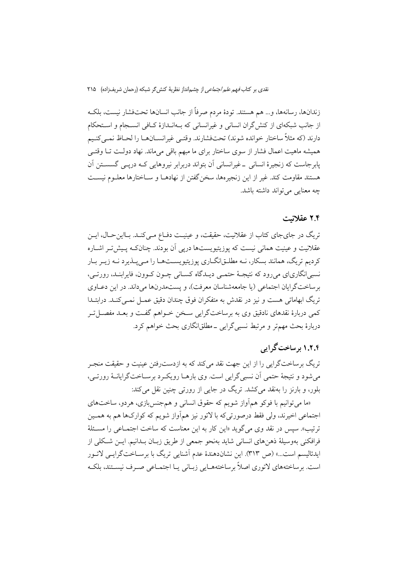زندانها، رسانهها، و… هم هستند. تودهٔ مردم صرفاً از جانب انسانها تحتفشار نیست، بلکـه از جانب شبکهای از کنش گران انسانی و غیرانسانی که بـهانـدازهٔ کـافی انسـجام و اسـتحکام دارند (كه مثلاً ساختار خوانده شوند) تحتفشارند. وقتـي غيرانســانهــا را لحــاظ نمـيكنـيم همیشه ماهیت اعمال فشار از سوی ساختار برای ما مبهم باقی می ماند. نهاد دولت تـا وقتـی پابرجاست که زنجیرهٔ انسانی ۔غیرانسانی اَن بتواند دربرابر نیروهایی کـه درپــی گسســتن اَن هستند مقاومت كند. غير از اين زنجيرهها، سخن گفتن از نهادهــا و ســاختارها معلــوم نيســت چه معنایی می تواند داشته باشد.

#### ۲.۴ عقلانیت

تریگ در جای جای کتاب از عقلانیت، حقیقت، و عینیـت دفـاع مـی کنـد. بـااین حـال، ایــن عقلانیت و عینیت همانی نیست که پوزیتیویستها دریی آن بودند. چنانکـه پـیشتـر اشــاره کردیم تریگ، همانند بسکار، نــه مطلــقانگــاری یوزیتیویســتهــا را مــی پـــذیرد نــه زیــر بــار نسبي انگاري اي مي رود كه نتيجـهٔ حتمـي ديــدگاه كســاني چــون كــوون، فايراينــد، رورتــي، برساختگرایان اجتماعی (یا جامعهشناسان معرفت)، و پستمدرنها میداند. در این دعباوی تریگ ابهاماتی هست و نیز در نقدش به متفکران فوق چندان دقیق عمـل نمـیکنـد. درابتـدا کمی دربارهٔ نقدهای نادقیق وی به برساختگرایی سـخن خـواهم گفـت و بعـد مفصـل تـر دربارهٔ بحث مهمتر و مرتبط نسبی گرایی ـ مطلقانگاری بحث خواهم کرد.

# ۱.۲.۴ درساخت گرایی

تریگ برساختگرایی را از این جهت نقد میکند که به ازدسترفتن عینیت و حقیقت منجـر می شود و نتیجهٔ حتمی آن نسبی گرایی است. وی بارهـا رویکـرد برسـاختگرایانـهٔ رورتـی، بلور، و بارنز را بهنقد میکشد. تریگ در جایی از رورتی چنین نقل میکند:

«ما می توانیم با فوکو همأواز شویم که حقوق انسانی و همجنسبازی، هردو، ساختهای اجتماعي اخيرند، ولي فقط درصورتي كه با لاتور نيز همأواز شويم كه كواركها هم به همـين ترتيب». سيس در نقد وي مي گويد «اين كار به اين معناست كه ساخت اجتمــاعي را مســئلهٔ فرافكني بهوسيلة ذهنهاي انساني شايد بهنحو جمعي از طريق زبـان بـدانيم. ايــن شـكلي از ایدئالیسم است…» (ص ٣١٣). این نشاندهندهٔ عدم آشنایی تریگ با برســاختگرایــی لاتــور است. برساختههای لاتوری اصلاً برساختههـایی زبـانی یـا اجتمـاعی صـرف نیسـتند، بلکـه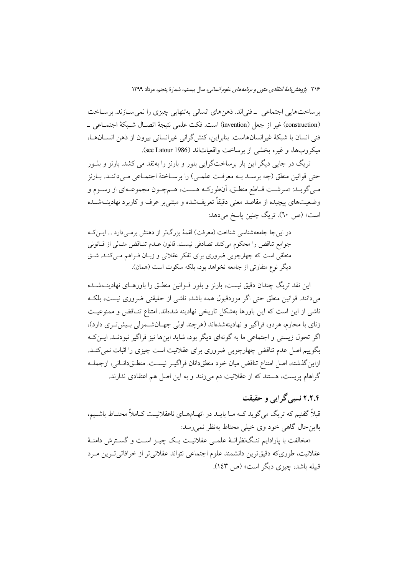برساختهایی اجتماعی \_فنی|ند. ذهنهای انسانی بهتنهایی چیزی را نمی سـازند. برسـاخت (construction) غير از جعل (invention) است. فكت علمي نتيجهٔ اتصـال شـبكهٔ اجتمـاعي \_ فني انسان با شبكة غيرانسانهاست. بنابراين، كنش گراني غيرانساني بيرون از ذهن انســانهــا، ميكروبها، و غيره بخشى از برساخت واقعياتاند (see Latour 1986).

تریگ در جایی دیگر این بار برساختگرایی بلور و بارنز را بهنقد می کشد. بارنز و بلــور حتی قوانین منطق (چه برسـد بـه معرفـت علمـی) را برسـاختهٔ اجتمـاعی مـیداننـد. بـارنز مـي گويــد: «سرشــت قــاطع منطــق، آنطوركــه هســت، هــمچــون مجموعــهاي از رســوم و وضعیتهای پیچیده از مقاصد معنی دقیقاً تعریفشده و مبتنی بر عرف و کاربرد نهادینــهشــده است» (ص ٦٠). تريگ چنين پاسخ مىدهد:

در این جا جامعهشناسی شناخت (معرفت) لقمهٔ بزرگتر از دهنش برمبی دارد … ایــن کــه جوامع تناقض را محكوم مىكنند تصادفى نيست. قانون عـدم تنـاقض مثـالى از قـانونى منطقی است که چهارچوبی ضروری برای تفکر عقلانی و زبـان فـراهم مـیکنـد. شـق ديگر نوع متفاوتي از جامعه نخواهد بود، بلكه سكوت است (همان).

این نقد تریگ چندان دقیق نیست، بارنز و بلور قــوانین منطــق را باورهــای نهادینــهشــده می دانند. قوانین منطق حتی اگر موردقبول همه باشد، ناشی از حقیقتی ضروری نیست، بلک ناشی از این است که این باورها بهشکل تاریخی نهادینه شدهاند. امتناع تنـاقض و ممنوعیـت زنای با محارم، هردو، فراگیر و نهادینهشدهاند (هرچند اولی جهـانشــمولی بـیشتتـری دارد)، اگر تحول زیستی و اجتماعی ما به گونهای دیگر بود، شاید اینها نیز فراگیر نبودنـد. ایــن کـه بگوییم اصل عدم تناقض چهارچوبی ضروری برای عقلانیت است چیزی را اثبات نمی کنـد. ازاين گذشته، اصل امتناع تناقض ميان خود منطقدانان فراگيـر نيسـت. منطـقدانـاني، ازجملـه گراهام پریست، هستند که از عقلانیت دم میزنند و به این اصل هم اعتقادی ندارند.

# ۲.۲.۴ نسبی گرایی و حقیقت

قبلاً گفتیم که تریگ می گوید کــه مــا بایــد در اتهــامهــای ناعقلانیــت کــاملاً محتــاط باشــیم، بااین حال گاهی خود وی خیلی محتاط بهنظر نمی رسد:

«مخالفت با پارادایم تنگنظرانـهٔ علمـی عقلانیـت یـک چیـز اسـت و گسـترش دامنـهٔ عقلانیت، طوریکه دقیقترین دانشمند علوم اجتماعی نتواند عقلانی تر از خرافاتی تـرین مـرد قبیله باشد، چیزی دیگر است» (ص ۱٤۳).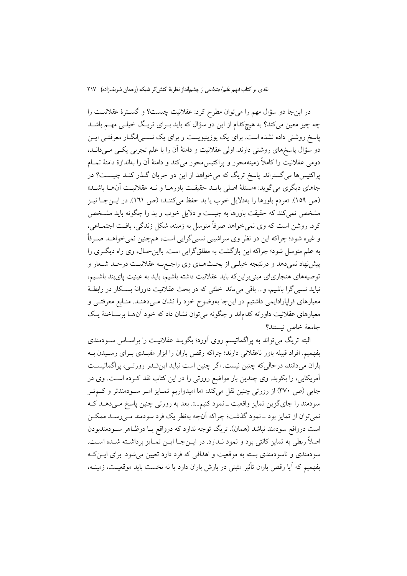در اینجا دو سؤال مهم را میتوان مطرح کرد: عقلانیت چیست؟ و گســترهٔ عقلانیــت را چه چیز معین میکند؟ به هیچکدام از این دو سؤال که باید بــرای تریـگ خیلــی مهــم باشــد پاسخ روشنی داده نشده است. برای یک پوزیتیویست و برای یک نسـبی|نگــار معرفتــی ایــن دو سؤال پاسخهای روشنی دارند. اولی عقلانیت و دامنهٔ آن را با علم تجربی یکسی میدانــد، دومی عقلانیت را کاملاً زمینهمحور و پراکتیس،محور میکند و دامنهٔ آن را بهاندازهٔ دامنهٔ تمــام پراکتیسها می گستراند. پاسخ تریگ که می خواهد از این دو جریان گـذر کنـد چیســت؟ در جاهای دیگری میگوید: «مسئلهٔ اصلی بایـد حقیقـت باورهـا و نـه عقلانیـت آنهـا باشـد» (ص ١٥٩). «مردم باورها را بهدلايل خوب يا بد حفظ مي كننـد» (ص ١٦١). در ايــن جــا نيــز مشخص نمی کند که حقیقت باورها به چیست و دلایل خوب و بد را چگونه باید مشـخص کرد. روشن است که وی نمیخواهد صرفاً متوسل به زمینه، شکل زندگی، بافت اجتمــاعی، و غیره شود؛ چراکه این در نظر وی سراشیبی نسبیگرایی است، همچنین نمی خواهــد صــرفاً به علم متوسل شود؛ چراکه این بازگشت به مطلق گرایی است. بااین حـال، وی راه دیگـری را پیشنهاد نمیدهد و درنتیجه خیلـی از بحـثهـای وی راجـع بـه عقلانیــت درحــد شــعار و توصیههای هنجاریای مبنی براینکه باید عقلانیت داشته باشیم، باید به عینیت پایبند باشـیم، نباید نسبی گرا باشیم، و... باقی میماند. خلئی که در بحث عقلانیت داورانهٔ بسکار در رابطهٔ معیارهای فراپارادایمی داشتیم در اینجا بهوضوح خود را نشان مـیدهنـد. منـابع معرفتـی و معیارهای عقلانیت داورانه کداماند و چگونه می توان نشان داد که خود آنهــا برســاختهٔ یــک جامعهٔ خاص نیستند؟

البته تریگ می تواند به پراگماتیسم روی آورد؛ بگویـد عقلانیـت را براسـاس سـودمندی بفهمیم. افراد قبیله باور ناعقلانی دارند؛ چراکه رقص باران را ابزار مفیـدی بـرای رسـیدن بــه باران میدانند، درحالی که چنین نیست. اگر چنین است نباید اینقـدر رورتـی، پراگماتیسـت آمریکایی، را بکوبد. وی چندین بار مواضع رورتی را در این کتاب نقد کـرده اســت. وی در جایی (ص ۳۷۰) از رورتی چنین نقل میکند: «ما امیدواریم تمـایز امـر سـودمندتر و کـمتـر سودمند را جایگزین تمایز واقعیت ــ نمود کنیم...». بعد به رورتی چنین پاسخ مــیدهــد کــه نمي توان از تمايز بود \_نمود گذشت؛ چراكه آنچه بهنظر يك فرد سودمند مـيرسـد ممكـن است درواقع سودمند نباشد (همان). تریگ توجه ندارد که درواقع یـا درظـاهر ســودمندبودن اصلاً ربطي به تمايز كانتي بود و نمود نـدارد. در ايــنجــا ايــن تمــايز برداشـته شــده اســت. سودمندی و ناسودمندی بسته به موقعیت و اهدافی که فرد دارد تعیین میشود. برای ایــن کــه بفهمیم که آیا رقص باران تأثیر مثبتی در بارش باران دارد یا نه نخست باید موقعیت، زمینــه،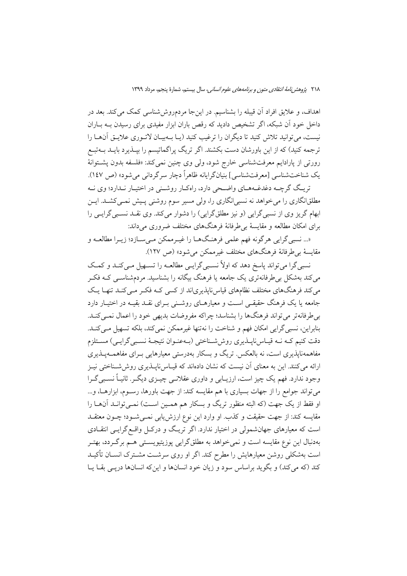اهداف، و علایق افراد آن قیبله را بشناسیم. در اینجا مردمروش شناسی کمک می کند. بعد در داخل خود آن شبکه، اگر تشخیص دادید که رقص باران ابزار مفیدی برای رسیدن بــه بــاران نیست، می توانید تلاش کنید تا دیگران را ترغیب کنید (یـا بـهبیـان لاتـوری علایـق آنهـا را ترجمه کنید) که از این باورشان دست بکشند. اگر تریگ پراگماتیسم را بپــذیرد بایــد بــهتبــع رورتی از پارادایم معرفتشناسی خارج شود، ولی وی چنین نمی کند: «فلسفه بدون پشتوانهٔ يک شناختشناسي [معرفتشناسي] بنيانگرايانه ظاهراً دچار سرگرداني مي شود» (ص ١٤٧).

تریگ گرچـه دغدغـههـای واضـحی دارد، راهکـار روشـنی در اختیـار نـدارد؛ وی نــه مطلقانگاری را می خواهد نه نسبی انگاری را، ولی مسیر سوم روشنی پیش نمـی کشــد. ایــن ابهام گریز وی از نسبی گرایی (و نیز مطلق گرایی) را دشوار می کند. وی نقــد نســبی گرایــی را برای امکان مطالعه و مقایسهٔ بی طرفانهٔ فرهنگهای مختلف ضروری می داند:

«... نسبي گرايي هرگونه فهم علمي فرهنگهــا را غيــرممكن مــي ســازد؛ زيــرا مطالعــه و مقایسهٔ بی طرفانهٔ فرهنگهای مختلف غیرممکن می شود» (ص ۱۲۷).

نسبي گرا مي تواند پاسخ دهد كه اولاً نسبي گرايـي مطالعـه را تســهيل مـي كنـد و كمـك می کند بهشکل بی طرفانهتری یک جامعه یا فرهنگ بیگانه را بشناسید. مردمشناســی کــه فکــر می کند فرهنگهای مختلف نظامهای قیاس ناپذیریاند از کسی کـه فکـر مـی کنـد تنهـا یـک جامعه یا یک فرهنگ حقیقے است و معیارهـای روشـنی بـرای نقـد بقیـه در اختیـار دارد بی طرفانهتر می تواند فرهنگها را بشناسد؛ چراکه مفروضات بدیهی خود را اعمال نمی کنـد. بنابراين، نسبي گرايي امكان فهم و شناخت را نهتنها غيرممكن نمي كند، بلكه تسهيل مـي كنـد. دقت کنیم کـه نـه قیـاسiنایـذیری روششـناختی (بـهعنـوان نتیجـهٔ نسـبی گرایـی) مسـتلزم مفاهمهنایذیری است، نه بالعکس تریگ و بسکار بهدرستی معیارهایی بـرای مفاهمــهیــذیری ارائه می کنند. این به معنای آن نیست که نشان دادهاند که قیـاسiناپــذیری روششــناختی نیــز وجود ندارد. فهم یک چیز است، ارزیـابی و داوری عقلانـی چیــزی دیگـر. ثانیـاً نسـبی گــرا میتواند جوامع را از جهات بسیاری با هم مقایسه کند: از جهت باورها، رسـوم، ابزارهــا، و... او فقط از یک جهت (که البته منظور تریگ و بسکار هم همـین اسـت) نمـی توانـد آنهـا را مقایسه کند: از جهت حقیقت و کذب. او وارد این نوع ارزش یابی نمــیشــود؛ چــون معتقــد است که معیارهای جهانشمولی در اختیار ندارد. اگر تریگ و درکـل واقـع گرایـبی انتقــادی بهدنبال این نوع مقایسه است و نمی خواهد به مطلق گرایی پوزیتیویسـتی هــم برگــردد، بهتــر است بهشکلی روشن معیارهایش را مطرح کند. اگر او روی سرشـت مشـترک انســان تأکیــد کند (که می کند) و بگوید براساس سود و زیان خود انسانها و اینکه انسانها دریـی بقــا یــا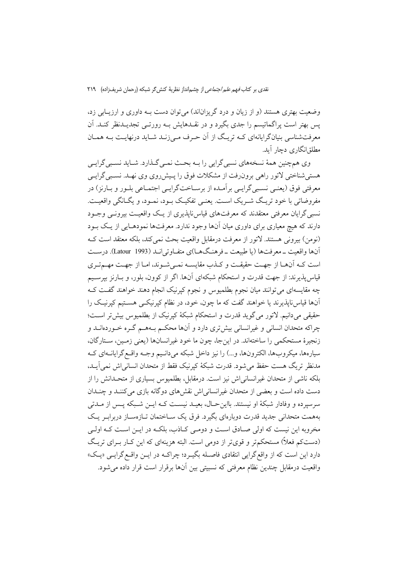وضعیت بهتری هستند (و از زیان و درد گریزاناند) می توان دست بـه داوری و ارزیـابی زد، یس بهتر است پراگماتیسم را جدی بگیرد و در نقــدهایش بــه رورتــی تجدیــدنظر کنــد. اَن معرفتشناسی بنیانگرایانهای کـه تریـگ از آن حـرف مـی;زنـد شـاید درنهایـت بـه همـان مطلق|نگاری دچار آید.

وي همچنين همهٔ نسخههاي نسبي گرايي را بـه بحـث نمـي گـذارد. شـايد نسـبي گرايـي هستی شناختی لاتور راهی برونرفت از مشکلات فوق را پیش روی وی نهـد. نسـبی گرایـی معرفتي فوق (يعنـي نسـبي گرايـي برآمـده از برسـاختگرايـي اجتمـاعي بلـور و بـارنز) در مفروضاتي با خود تريـگ شــريک اســت. يعنــي تفکيــک بــود، نمــود، و يگــانگـي واقعيــت. نسبی گرایان معرفتی معتقدند که معرفتهای قیاس ناپذیری از یـک واقعیـت بیرونـی وجـود دارند که هیچ معیاری برای داوری میان آنها وجود ندارد. معرفتها نمودهـایی از یـک بـود (نومن) بيروني هستند. لاتور از معرفت درمقابل واقعيت بحث نمي كند، بلكه معتقد است كـه آنها واقعیت ــ معرفتها (یا طبیعت ــ فرهنـگ۱مــا)ی متفــاوتی انــد (Latour 1993). درســت است کـه آنهـا از جهـت حقیقـت و کـذب مقایسـه نمـیشـوند، امـا از جهـت مهـمتـری قیاسپذیرند: از جهت قدرت و استحکام شبکهای آنها. اگر از کوون، بلور، و بـارنز بپرسـیم چه مقایسهای می توانند میان نجوم بطلمیوس و نجوم کیرنیک انجام دهند خواهند گفت ک آنها قیاس ناپذیرند یا خواهند گفت که ما چون، خود، در نظام کیرنیکسی هستیم کیرنیک را حقیقی میدانیم. لاتور میگوید قدرت و استحکام شبکهٔ کپرنیک از بطلمیوس بیش تر است؛ چراکه متحدان انسانی و غیرانسانی بیش تری دارد و آنها محکـم بـههـم گـره خـوردهانــد و زنجیرهٔ مستحکمی را ساختهاند. در اینجا، چون ما خود غیرانسانها (یعنی زمـین، سـتارگان، سیارهها، میکروبها، الکترونها، و...) را نیز داخل شبکه میدانـیم وجـه واقـع گرایانـهای کـه مدنظر تريگ هست حفظ مى شود. قدرت شبكهٔ كيرنيک فقط از متحدان انسانى اش نمى آيــد، بلکه ناشی از متحدان غیرانسانی اش نیز است. درمقابل، بطلمیوس بسیاری از متحـدانش را از دست داده است و بعضی از متحدان غیرانسانی اش نقش های دوگانه بازی می کننـد و چنـدان سرسیرده و وفادار شبکهٔ او نیستند. بااین حـال، بعیــد نیســت کــه ایــن شــبکه یـس از مــدتی بههمت متحدانی جدید قدرت دوبارهای بگیرد. فرق یک ســاختمان تــازهســاز دربرابـر یــک مخروبه این نیست که اولی صـادق اسـت و دومـی کـاذب، بلکـه در ایـن اسـت کـه اولـی (دستکم فعلاً) مستحکمتر و قویتر از دومی است. البته هزینهای که این کـار بـرای تریـگ دارد اين است كه از واقع گرايي انتقادي فاصـله بگيـرد؛ چراكــه در ايــن واقــع گرايــي «يــک» واقعیت درمقابل چندین نظام معرفتی که نسبیتی بین آنها برقرار است قرار داده می شود.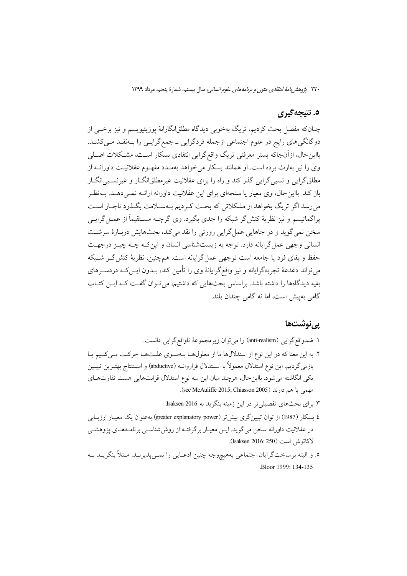### ٥. نتيجه گيري

چنانکه مفصل بحث کردیم، تریگ بهخوبی دیدگاه مطلقانگارانهٔ پوزیتیویسم و نیز برخــی از دوگانگیهای رایج در علوم اجتماعی ازجمله فردگرایی ــ جمع گرایـی را بــهنقــد مــیکشــد. بااینحال، ازآنجاکه بستر معرفتی تریگ واقع گرایی انتفادی بسکار است، مشکلات اصلی وی را نیز بهارث برده است. او همانند بسکار می خواهد بهمـدد مفهـوم عقلانیـت داورانــه از مطلق گرایی و نسبی گرایی گذر کند و راه را برای عقلانیت غیرمطلقانگــار و غیرنســبی|نگــار باز کند. بااین حال، وی معیار یا سنجهای برای این عقلانیت داورانه ارائــه نمــی دهــد. بــهنظــر می رسد اگر تریگ بخواهد از مشکلاتی که بحث کـردیم بـهسـلامت بگـذرد ناچـار اسـت یراگماتیسم و نیز نظریهٔ کنش گر شبکه را جدی بگیرد. وی گرچــه مســتقیماً از عمــل گرایــی سخن نمي گويد و در جاهايي عمل گرايي رورتي را نقد مي كند، بحثهايش دربـارهٔ سرشـت انسانی وجهی عمل گرایانه دارد. توجه به زیستشناسی انسان و این کـه چـه چیـز درجهـت حفظ و بقای فرد یا جامعه است توجهی عمل گرایانه است. همچنین، نظریهٔ کنش گـر شـبکه می تواند دغدغهٔ تجربهگرایانه و نیز واقعگرایانهٔ وی را تأمین کند، بــدون ایــنکــه دردســرهای بقیه دیدگاهها را داشته باشد. براساس بحثهایی که داشتیم، می تـوان گفـت کـه ایـن کتـاب گامی بهییش است، اما نه گامی چندان بلند.

### يي نوشتھا

- ا. ضدواقع گرايي (anti-realism) را مي توان زيرمجموعهٔ ناواقع گرايي دانست. ٢. به اين معنا كه در اين نوع از استدلالها ما از معلولها بـهسـوى علـتهـا حركـت مـى كنـيم يـا بازمي گرديم. اين نوع استدلال معمولاً با اسـتدلال فراروانــه (abductive) و اسـتنتاج بهتـرين تبيـين يكي انگاشته مي شود. بااين حال، هرچند ميان اين سه نوع استدلال قرابتهايي هست تفاوتهاي مهمي با هم دارند (see McAuliffe 2015; Chiasson 2005).
	- ۳. برای بحثهای تفصیلی تر در این زمینه بنگرید به Isaksen 2016.
- ٤ بسكار (1987) از توان تبيين گرى بيش تر (greater explanatory power) به عنوان يك معيــار ارزيــابي در عقلانیت داورانه سخن می گوید. ایــن معیــار برگرفتــه از روششناســی برنامــههـای پژوهشــی لاكاتوش است (Isaksen 2016: 250).
- ٥. و البته برساختگرايان اجتماعي بههيچوجه چنين ادعـايي را نمـي پذيرنـد. مـثلاً بنگريــد بــه Bloor 1999: 134-135